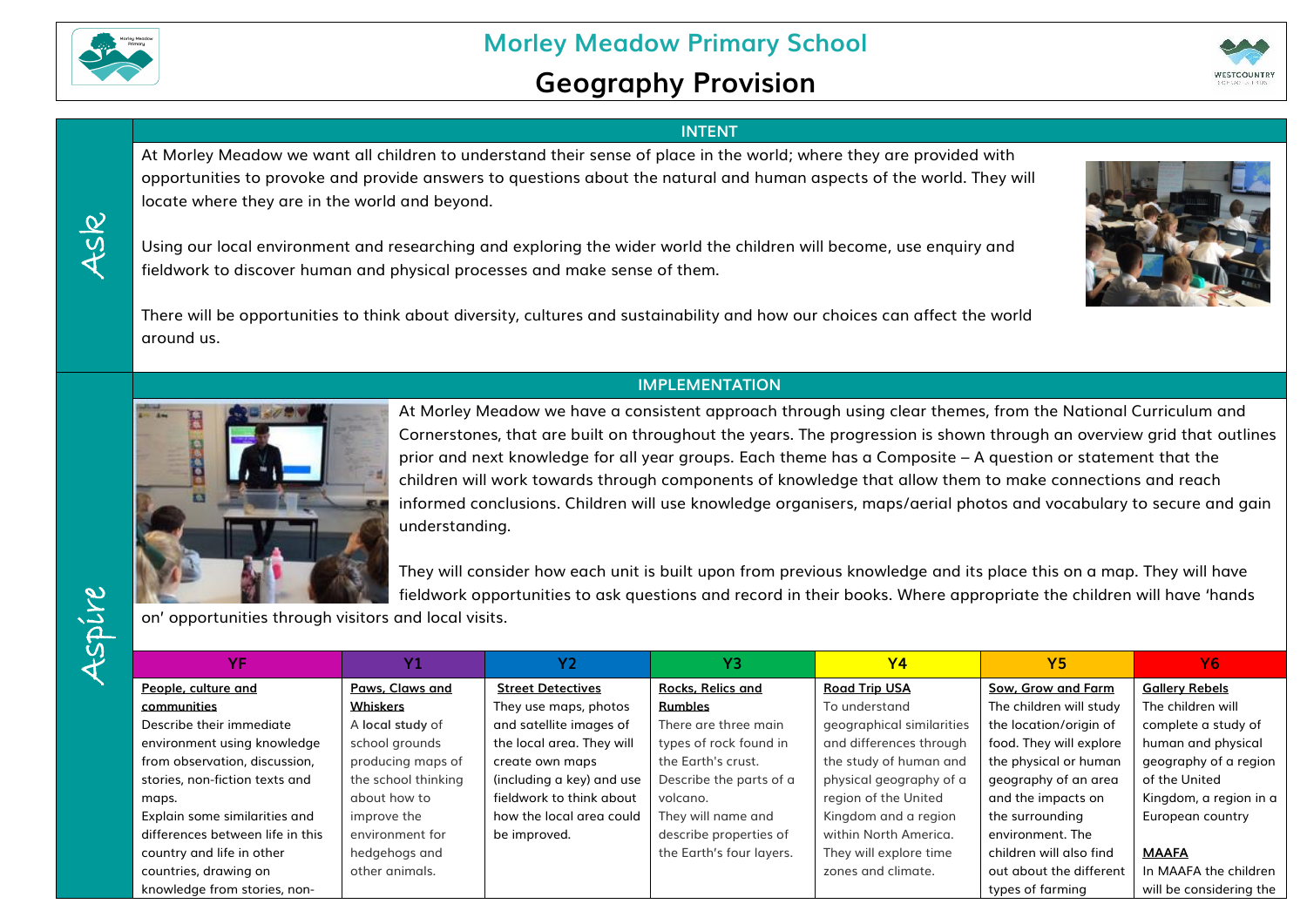

Ask

## **Geography Provision**



## **INTENT**

At Morley Meadow we want all children to understand their sense of place in the world; where they are provided with opportunities to provoke and provide answers to questions about the natural and human aspects of the world. They will locate where they are in the world and beyond.

Using our local environment and researching and exploring the wider world the children will become, use enquiry and fieldwork to discover human and physical processes and make sense of them.

There will be opportunities to think about diversity, cultures and sustainability and how our choices can affect the world around us.



## **IMPLEMENTATION**



At Morley Meadow we have a consistent approach through using clear themes, from the National Curriculum and Cornerstones, that are built on throughout the years. The progression is shown through an overview grid that outlines prior and next knowledge for all year groups. Each theme has a Composite – A question or statement that the children will work towards through components of knowledge that allow them to make connections and reach informed conclusions. Children will use knowledge organisers, maps/aerial photos and vocabulary to secure and gain understanding.

They will consider how each unit is built upon from previous knowledge and its place this on a map. They will have fieldwork opportunities to ask questions and record in their books. Where appropriate the children will have 'hands

on' opportunities through visitors and local visits.

| YF                               |                     | Υ2                        | Y3                       | <b>Y4</b>                 | <b>Y5</b>               | Υ6                      |
|----------------------------------|---------------------|---------------------------|--------------------------|---------------------------|-------------------------|-------------------------|
| People, culture and              | Paws, Claws and     | <b>Street Detectives</b>  | <b>Rocks, Relics and</b> | <b>Road Trip USA</b>      | Sow, Grow and Farm      | <b>Gallery Rebels</b>   |
| communities                      | <b>Whiskers</b>     | They use maps, photos     | <b>Rumbles</b>           | To understand             | The children will study | The children will       |
| Describe their immediate         | A local study of    | and satellite images of   | There are three main     | geographical similarities | the location/origin of  | complete a study of     |
| environment using knowledge      | school grounds      | the local area. They will | types of rock found in   | and differences through   | food. They will explore | human and physical      |
| from observation, discussion,    | producing maps of   | create own maps           | the Earth's crust.       | the study of human and    | the physical or human   | geography of a region   |
| stories, non-fiction texts and   | the school thinking | (including a key) and use | Describe the parts of a  | physical geography of a   | geography of an area    | of the United           |
| maps.                            | about how to        | fieldwork to think about  | volcano.                 | region of the United      | and the impacts on      | Kingdom, a region in a  |
| Explain some similarities and    | improve the         | how the local area could  | They will name and       | Kingdom and a region      | the surrounding         | European country        |
| differences between life in this | environment for     | be improved.              | describe properties of   | within North America.     | environment. The        |                         |
| country and life in other        | hedgehogs and       |                           | the Earth's four layers. | They will explore time    | children will also find | <b>MAAFA</b>            |
| countries, drawing on            | other animals.      |                           |                          | zones and climate.        | out about the different | In MAAFA the children   |
| knowledge from stories, non-     |                     |                           |                          |                           | types of farming        | will be considering the |